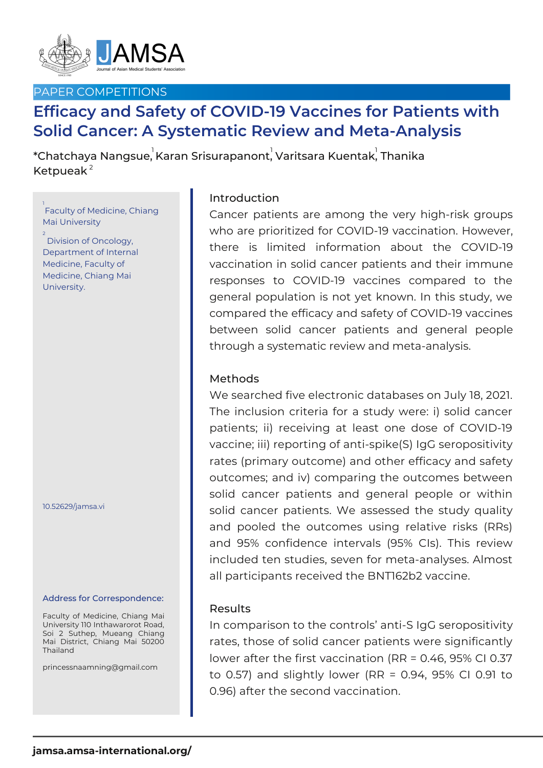

## PAPER COMPETITIONS

# **Efficacy and Safety of COVID-19 Vaccines for Patients with Solid Cancer: A Systematic Review and Meta-Analysis**

 $^\ast$ Chatchaya Nangsue, $^\text{I}$ Karan Srisurapanont, $^\text{I}$ Varitsara Kuentak $^\text{I}$  Thanika Ketpueak $^2$ 

## 1<br>Faculty of Medicine, Chiang Mai University

2 Division of Oncology, Department of Internal Medicine, Faculty of Medicine, Chiang Mai University.

10.52629/jamsa.vi

#### Address for Correspondence:

Faculty of Medicine, Chiang Mai University 110 Inthawarorot Road, Soi 2 Suthep, Mueang Chiang Mai District, Chiang Mai 50200 Thailand

princessnaamning@gmail.com

## Introduction

Cancer patients are among the very high-risk groups who are prioritized for COVID-19 vaccination. However, there is limited information about the COVID-19 vaccination in solid cancer patients and their immune responses to COVID-19 vaccines compared to the general population is not yet known. In this study, we compared the efficacy and safety of COVID-19 vaccines between solid cancer patients and general people through a systematic review and meta-analysis.

### Methods

We searched five electronic databases on July 18, 2021. The inclusion criteria for a study were: i) solid cancer patients; ii) receiving at least one dose of COVID-19 vaccine; iii) reporting of anti-spike(S) IgG seropositivity rates (primary outcome) and other efficacy and safety outcomes; and iv) comparing the outcomes between solid cancer patients and general people or within solid cancer patients. We assessed the study quality and pooled the outcomes using relative risks (RRs) and 95% confidence intervals (95% CIs). This review included ten studies, seven for meta-analyses. Almost all participants received the BNT162b2 vaccine.

#### Results

In comparison to the controls' anti-S IgG seropositivity rates, those of solid cancer patients were significantly lower after the first vaccination (RR = 0.46, 95% CI 0.37 to 0.57) and slightly lower (RR = 0.94, 95% CI 0.91 to 0.96) after the second vaccination.